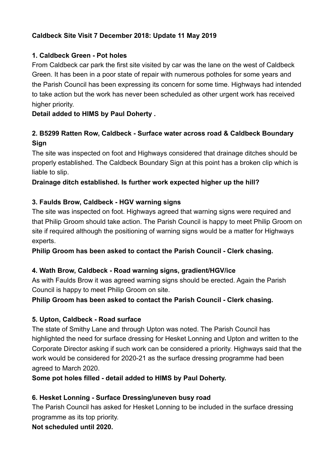## **Caldbeck Site Visit 7 December 2018: Update 11 May 2019**

## **1. Caldbeck Green - Pot holes**

From Caldbeck car park the first site visited by car was the lane on the west of Caldbeck Green. It has been in a poor state of repair with numerous potholes for some years and the Parish Council has been expressing its concern for some time. Highways had intended to take action but the work has never been scheduled as other urgent work has received higher priority.

## **Detail added to HIMS by Paul Doherty .**

## **2. B5299 Ratten Row, Caldbeck - Surface water across road & Caldbeck Boundary Sign**

The site was inspected on foot and Highways considered that drainage ditches should be properly established. The Caldbeck Boundary Sign at this point has a broken clip which is liable to slip.

## **Drainage ditch established. Is further work expected higher up the hill?**

## **3. Faulds Brow, Caldbeck - HGV warning signs**

The site was inspected on foot. Highways agreed that warning signs were required and that Philip Groom should take action. The Parish Council is happy to meet Philip Groom on site if required although the positioning of warning signs would be a matter for Highways experts.

**Philip Groom has been asked to contact the Parish Council - Clerk chasing.** 

### **4. Wath Brow, Caldbeck - Road warning signs, gradient/HGV/ice**

As with Faulds Brow it was agreed warning signs should be erected. Again the Parish Council is happy to meet Philip Groom on site.

### **Philip Groom has been asked to contact the Parish Council - Clerk chasing.**

### **5. Upton, Caldbeck - Road surface**

The state of Smithy Lane and through Upton was noted. The Parish Council has highlighted the need for surface dressing for Hesket Lonning and Upton and written to the Corporate Director asking if such work can be considered a priority. Highways said that the work would be considered for 2020-21 as the surface dressing programme had been agreed to March 2020.

**Some pot holes filled - detail added to HIMS by Paul Doherty.** 

### **6. Hesket Lonning - Surface Dressing/uneven busy road**

The Parish Council has asked for Hesket Lonning to be included in the surface dressing programme as its top priority.

## **Not scheduled until 2020.**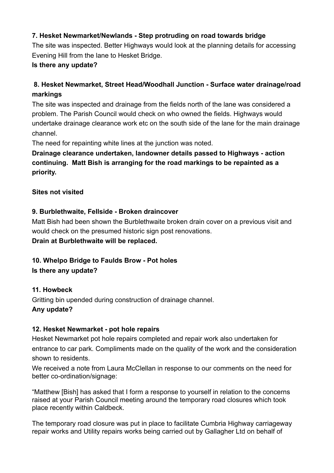## **7. Hesket Newmarket/Newlands - Step protruding on road towards bridge**

The site was inspected. Better Highways would look at the planning details for accessing Evening Hill from the lane to Hesket Bridge.

#### **Is there any update?**

# **8. Hesket Newmarket, Street Head/Woodhall Junction - Surface water drainage/road markings**

The site was inspected and drainage from the fields north of the lane was considered a problem. The Parish Council would check on who owned the fields. Highways would undertake drainage clearance work etc on the south side of the lane for the main drainage channel.

The need for repainting white lines at the junction was noted.

# **Drainage clearance undertaken, landowner details passed to Highways - action continuing. Matt Bish is arranging for the road markings to be repainted as a priority.**

#### **Sites not visited**

### **9. Burblethwaite, Fellside - Broken draincover**

Matt Bish had been shown the Burblethwaite broken drain cover on a previous visit and would check on the presumed historic sign post renovations. **Drain at Burblethwaite will be replaced.** 

## **10. Whelpo Bridge to Faulds Brow - Pot holes**

**Is there any update?** 

### **11. Howbeck**

Gritting bin upended during construction of drainage channel. **Any update?** 

#### **12. Hesket Newmarket - pot hole repairs**

Hesket Newmarket pot hole repairs completed and repair work also undertaken for entrance to car park. Compliments made on the quality of the work and the consideration shown to residents.

We received a note from Laura McClellan in response to our comments on the need for better co-ordination/signage:

"Matthew [Bish] has asked that I form a response to yourself in relation to the concerns raised at your Parish Council meeting around the temporary road closures which took place recently within Caldbeck.

The temporary road closure was put in place to facilitate Cumbria Highway carriageway repair works and Utility repairs works being carried out by Gallagher Ltd on behalf of